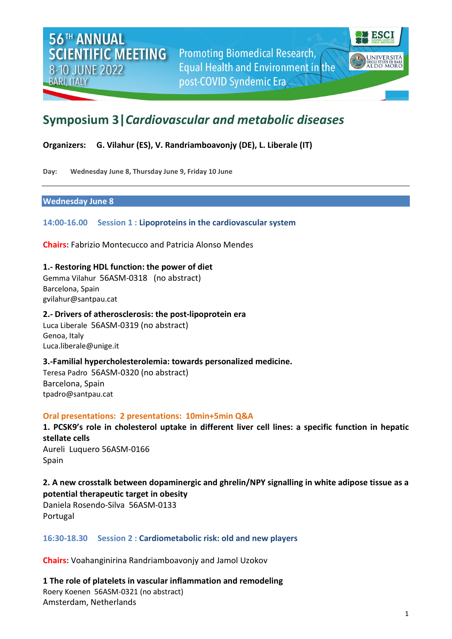

# **Symposium 3|***Cardiovascular and metabolic diseases*

**Organizers: G. Vilahur (ES), V. Randriamboavonjy (DE), L. Liberale (IT)**

**Day: Wednesday June 8, Thursday June 9, Friday 10 June**

#### **Wednesday June 8**

**14:00-16.00 Session 1 : Lipoproteins in the cardiovascular system**

**Chairs:** Fabrizio Montecucco and Patricia Alonso Mendes

**1.- Restoring HDL function: the power of diet** Gemma Vilahur 56ASM-0318 (no abstract) Barcelona, Spain [gvilahur@santpau.cat](mailto:gvilahur@santpau.cat)

#### **2.- Drivers of atherosclerosis: the post-lipoprotein era**

Luca Liberale 56ASM-0319 (no abstract) Genoa, Italy Luca.liberale@unige.it

# **3.-Familial hypercholesterolemia: towards personalized medicine.**

Teresa Padro 56ASM-0320 (no abstract) Barcelona, Spain [tpadro@santpau.cat](mailto:tpadro@santpau.cat)

#### **Oral presentations: 2 presentations: 10min+5min Q&A**

**1. PCSK9's role in cholesterol uptake in different liver cell lines: a specific function in hepatic stellate cells** Aureli Luquero 56ASM-0166 Spain

# **2. A new crosstalk between dopaminergic and ghrelin/NPY signalling in white adipose tissue as a potential therapeutic target in obesity**

Daniela Rosendo-Silva 56ASM-0133 Portugal

# **16:30-18.30 Session 2 : Cardiometabolic risk: old and new players**

**Chairs:** Voahanginirina Randriamboavonjy and Jamol Uzokov

**1 The role of platelets in vascular inflammation and remodeling** Roery Koenen 56ASM-0321 (no abstract) Amsterdam, Netherlands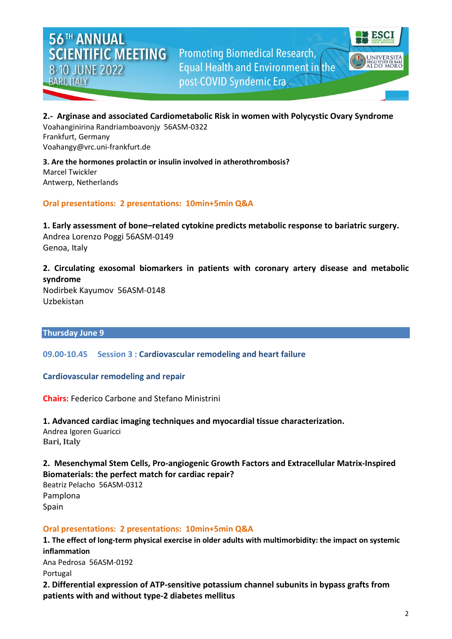

#### **2.- Arginase and associated Cardiometabolic Risk in women with Polycystic Ovary Syndrome**

Voahanginirina Randriamboavonjy 56ASM-0322 Frankfurt, Germany [Voahangy@vrc.uni-frankfurt.de](mailto:Voahangy@vrc.uni-frankfurt.de)

**3. Are the hormones prolactin or insulin involved in atherothrombosis?** Marcel Twickler Antwerp, Netherlands

# **Oral presentations: 2 presentations: 10min+5min Q&A**

**1. Early assessment of bone–related cytokine predicts metabolic response to bariatric surgery.** Andrea Lorenzo Poggi 56ASM-0149 Genoa, Italy

# **2. Circulating exosomal biomarkers in patients with coronary artery disease and metabolic syndrome**

Nodirbek Kayumov 56ASM-0148 Uzbekistan

# **Thursday June 9**

# **09.00-10.45 Session 3 : Cardiovascular remodeling and heart failure**

# **Cardiovascular remodeling and repair**

**Chairs**: Federico Carbone and Stefano Ministrini

**1. Advanced cardiac imaging techniques and myocardial tissue characterization.**

Andrea Igoren Guaricci **Bari, Italy**

# **2. Mesenchymal Stem Cells, Pro-angiogenic Growth Factors and Extracellular Matrix-Inspired Biomaterials: the perfect match for cardiac repair?** Beatriz Pelacho 56ASM-0312

Pamplona Spain

# **Oral presentations: 2 presentations: 10min+5min Q&A**

**1. The effect of long-term physical exercise in older adults with multimorbidity: the impact on systemic inflammation** Ana Pedrosa 56ASM-0192 Portugal **2. Differential expression of ATP-sensitive potassium channel subunits in bypass grafts from patients with and without type-2 diabetes mellitus**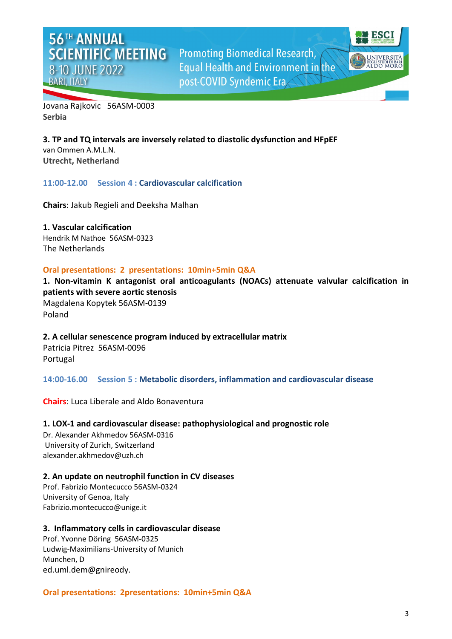

Jovana Rajkovic 56ASM-0003 **Serbia**

**3. TP and TQ intervals are inversely related to diastolic dysfunction and HFpEF** van Ommen A.M.L.N. **Utrecht, Netherland**

#### **11:00-12.00 Session 4 : Cardiovascular calcification**

**Chairs**: Jakub Regieli and Deeksha Malhan

**1. Vascular calcification** Hendrik M Nathoe 56ASM-0323 The Netherlands

#### **Oral presentations: 2 presentations: 10min+5min Q&A**

**1. Non-vitamin K antagonist oral anticoagulants (NOACs) attenuate valvular calcification in patients with severe aortic stenosis** Magdalena Kopytek 56ASM-0139 Poland

**2. A cellular senescence program induced by extracellular matrix** Patricia Pitrez 56ASM-0096 Portugal

**14:00-16.00 Session 5 : Metabolic disorders, inflammation and cardiovascular disease**

**Chairs**: Luca Liberale and Aldo Bonaventura

# **1. LOX-1 and cardiovascular disease: pathophysiological and prognostic role**

Dr. Alexander Akhmedov 56ASM-0316 University of Zurich, Switzerland [alexander.akhmedov@uzh.ch](mailto:alexander.akhmedov@uzh.ch)

# **2. An update on neutrophil function in CV diseases**

Prof. Fabrizio Montecucco 56ASM-0324 University of Genoa, Italy [Fabrizio.montecucco@unige.it](mailto:Fabrizio.montecucco@unige.it)

#### **3. Inflammatory cells in cardiovascular disease**

Prof. Yvonne Döring 56ASM-0325 Ludwig-Maximilians-University of Munich Munchen, D [ed.uml.dem@gnireody.](mailto:dev@null)

# **Oral presentations: 2presentations: 10min+5min Q&A**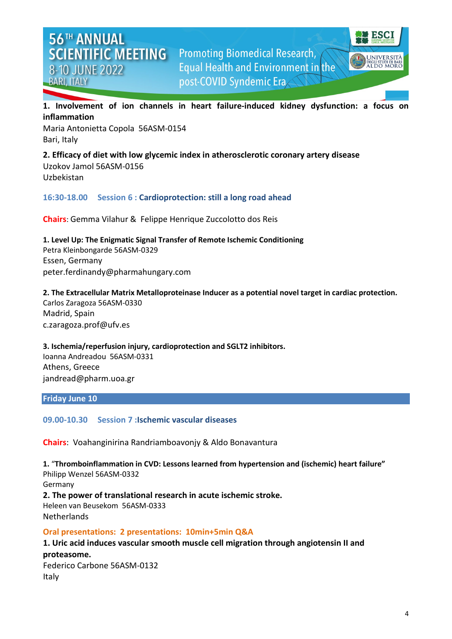

**1. Involvement of ion channels in heart failure-induced kidney dysfunction: a focus on inflammation**

Maria Antonietta Copola 56ASM-0154 Bari, Italy

**2. Efficacy of diet with low glycemic index in atherosclerotic coronary artery disease** Uzokov Jamol 56ASM-0156 Uzbekistan

**16:30-18.00 Session 6 : Cardioprotection: still a long road ahead**

**Chairs**: Gemma Vilahur & Felippe Henrique Zuccolotto dos Reis

**1. Level Up: The Enigmatic Signal Transfer of Remote Ischemic Conditioning** Petra Kleinbongarde 56ASM-0329 Essen, Germany [peter.ferdinandy@pharmahungary.com](mailto:peter.ferdinandy@pharmahungary.com)

**2. The Extracellular Matrix Metalloproteinase Inducer as a potential novel target in cardiac protection.** Carlos Zaragoza 56ASM-0330 Madrid, Spain c.zaragoza.prof@ufv.es

**3. Ischemia/reperfusion injury, cardioprotection and SGLT2 inhibitors.**

Ioanna Andreadou 56ASM-0331 Athens, Greece [jandread@pharm.uoa.gr](mailto:jandread@pharm.uoa.gr)

#### **Friday June 10**

Italy

**09.00-10.30 Session 7 :Ischemic vascular diseases** 

**Chairs**: Voahanginirina Randriamboavonjy & Aldo Bonavantura

**1.** "**Thromboinflammation in CVD: Lessons learned from hypertension and (ischemic) heart failure"** Philipp Wenzel 56ASM-0332 Germany **2. The power of translational research in acute ischemic stroke.** Heleen van Beusekom 56ASM-0333 Netherlands

#### **Oral presentations: 2 presentations: 10min+5min Q&A**

**1. Uric acid induces vascular smooth muscle cell migration through angiotensin II and proteasome.** Federico Carbone 56ASM-0132